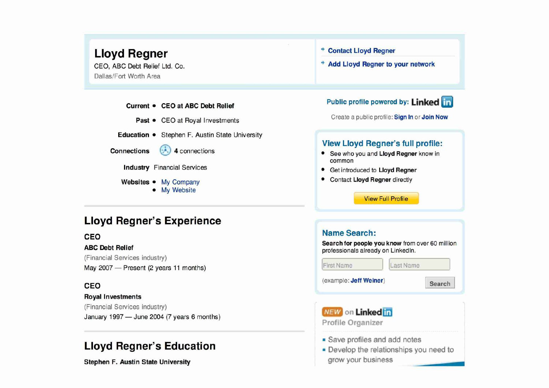

Dallas/Fort Worth Area

## **Lloyd Regner's Experience**

(Financial Services industry)

## **Royal Investments**